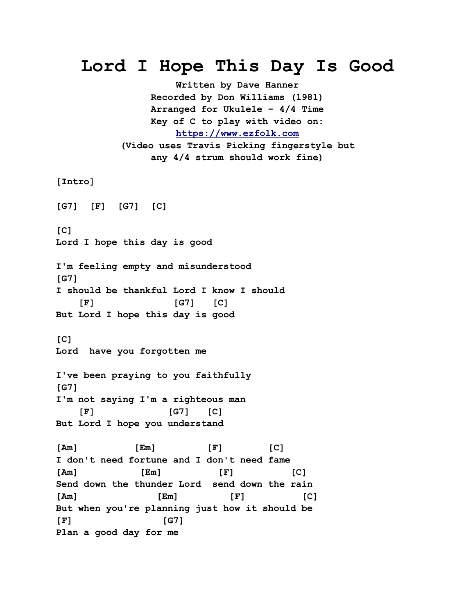## **Lord I Hope This Day Is Good**

**Written by Dave Hanner Recorded by Don Williams (1981) Arranged for Ukulele – 4/4 Time Key of C to play with video on: [https://www.ezfolk.com](https://www.ezfolk.com/) (Video uses Travis Picking fingerstyle but any 4/4 strum should work fine)**

**[Intro]**

**[G7] [F] [G7] [C]**

**[C] Lord I hope this day is good**

**I'm feeling empty and misunderstood [G7] I should be thankful Lord I know I should [F] [G7] [C] But Lord I hope this day is good**

**[C] Lord have you forgotten me**

**I've been praying to you faithfully [G7] I'm not saying I'm a righteous man [F] [G7] [C] But Lord I hope you understand**

**[Am] [Em] [F] [C] I don't need fortune and I don't need fame [Am] [Em] [F] [C] Send down the thunder Lord send down the rain [Am] [Em] [F] [C] But when you're planning just how it should be [F] [G7] Plan a good day for me**